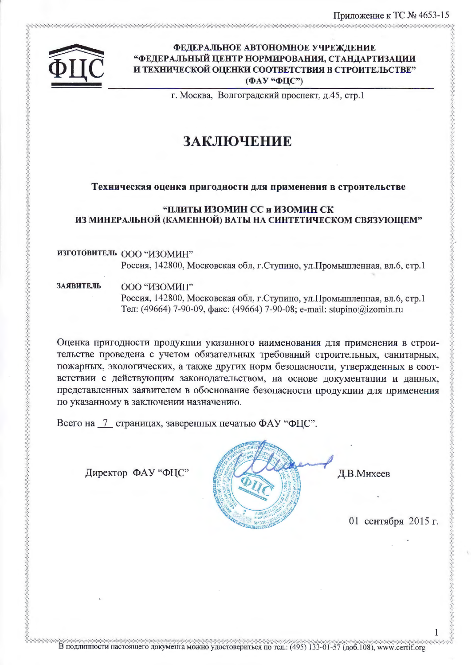

# ФЕДЕРАЛЬНОЕ АВТОНОМНОЕ УЧРЕЖДЕНИЕ "ФЕДЕРАЛЬНЫЙ ЦЕНТР НОРМИРОВАНИЯ, СТАНДАРТИЗАЦИИ И ТЕХНИЧЕСКОЙ ОЦЕНКИ СООТВЕТСТВИЯ В СТРОИТЕЛЬСТВЕ" (ФАУ "ФЦС")

г. Москва, Волгоградский проспект, д.45, стр.1

# ЗАКЛЮЧЕНИЕ

## Техническая оценка пригодности для применения в строительстве

## **"ПЛИТЫ ИЗОМИН СС и ИЗОМИН СК** ИЗ МИНЕРАЛЬНОЙ (КАМЕННОЙ) ВАТЫ НА СИНТЕТИЧЕСКОМ СВЯЗУЮЩЕМ"

ИЗГОТОВИТЕЛЬ ООО "ИЗОМИН" Россия, 142800, Московская обл, г.Ступино, ул.Промышленная, вл.6, стр.1

**ЗАЯВИТЕЛЬ** ООО "ИЗОМИН"

> Россия, 142800, Московская обл, г.Ступино, ул.Промышленная, вл.6, стр.1 Тел: (49664) 7-90-09, факс: (49664) 7-90-08; e-mail: stupino@izomin.ru

Оценка пригодности продукции указанного наименования для применения в строительстве проведена с учетом обязательных требований строительных, санитарных, пожарных, экологических, а также других норм безопасности, утвержденных в соответствии с действующим законодательством, на основе документации и данных, представленных заявителем в обоснование безопасности продукции для применения по указанному в заключении назначению.

В подлинности настоящего документа можно удостовериться по тед.: (495) 133-01-57 (доб.108), www.certif.org

Всего на 7 страницах, заверенных печатью ФАУ "ФЦС".

Директор ФАУ "ФЦС"



Д.В.Михеев

01 сентября 2015 г.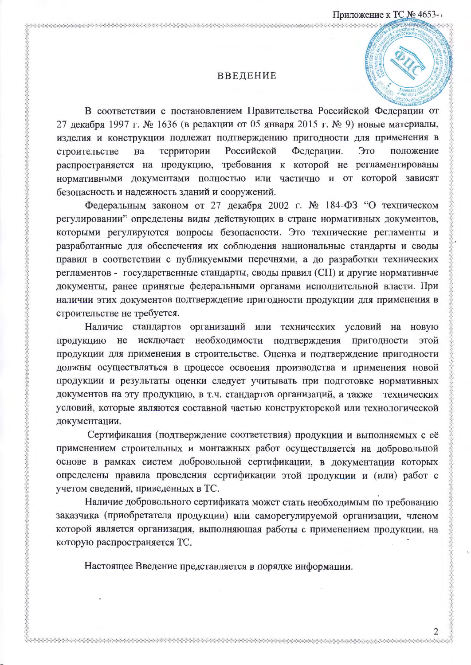#### **ВВЕДЕНИЕ**

В соответствии с постановлением Правительства Российской Федерации от 27 декабря 1997 г. № 1636 (в редакции от 05 января 2015 г. № 9) новые материалы, изделия и конструкции подлежат подтверждению пригодности для применения в Российской Федерации. Это территории положение строительстве на распространяется на продукцию, требования к которой не регламентированы нормативными документами полностью или частично и от которой зависят безопасность и надежность зданий и сооружений.

Федеральным законом от 27 декабря 2002 г. № 184-ФЗ "О техническом регулировании" определены виды действующих в стране нормативных документов, которыми регулируются вопросы безопасности. Это технические регламенты и разработанные для обеспечения их соблюдения национальные стандарты и своды правил в соответствии с публикуемыми перечнями, а до разработки технических регламентов - государственные стандарты, своды правил (СП) и другие нормативные документы, ранее принятые федеральными органами исполнительной власти. При наличии этих документов подтверждение пригодности продукции для применения в строительстве не требуется.

Наличие стандартов организаций или технических условий на новую продукцию не исключает необходимости подтверждения пригодности этой продукции для применения в строительстве. Оценка и подтверждение пригодности должны осуществляться в процессе освоения производства и применения новой продукции и результаты оценки следует учитывать при подготовке нормативных документов на эту продукцию, в т.ч. стандартов организаций, а также технических условий, которые являются составной частью конструкторской или технологической документации.

Сертификация (подтверждение соответствия) продукции и выполняемых с её применением строительных и монтажных работ осуществляется на добровольной основе в рамках систем добровольной сертификации, в документации которых определены правила проведения сертификации этой продукции и (или) работ с учетом сведений, приведенных в ТС.

Наличие добровольного сертификата может стать необходимым по требованию заказчика (приобретателя продукции) или саморегулируемой организации, членом которой является организация, выполняющая работы с применением продукции, на которую распространяется ТС.

Настоящее Введение представляется в порядке информации.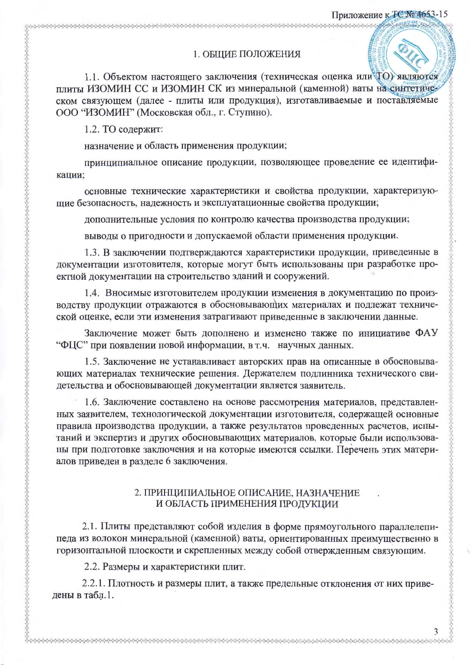## 1. ОБЩИЕ ПОЛОЖЕНИЯ

1.1. Объектом настоящего заключения (техническая оценка или ТО) являются плиты ИЗОМИН СС и ИЗОМИН СК из минеральной (каменной) ваты на синтетическом связующем (далее - плиты или продукция), изготавливаемые и поставляемые ООО "ИЗОМИН" (Московская обл., г. Ступино).

1.2. ТО содержит:

</u>

назначение и область применения продукции;

принципиальное описание продукции, позволяющее проведение ее идентификации;

основные технические характеристики и свойства продукции, характеризующие безопасность, надежность и эксплуатационные свойства продукции;

дополнительные условия по контролю качества производства продукции;

выводы о пригодности и допускаемой области применения продукции.

1.3. В заключении подтверждаются характеристики продукции, приведенные в документации изготовителя, которые могут быть использованы при разработке проектной документации на строительство зданий и сооружений.

1.4. Вносимые изготовителем продукции изменения в документацию по производству продукции отражаются в обосновывающих материалах и подлежат технической оценке, если эти изменения затрагивают приведенные в заключении данные.

Заключение может быть дополнено и изменено также по инициативе ФАУ "ФЦС" при появлении новой информации, в т.ч. научных данных.

1.5. Заключение не устанавливает авторских прав на описанные в обосновывающих материалах технические решения. Держателем подлинника технического свидетельства и обосновывающей документации является заявитель.

1.6. Заключение составлено на основе рассмотрения материалов, представленных заявителем, технологической документации изготовителя, содержащей основные правила производства продукции, а также результатов проведенных расчетов, испытаний и экспертиз и других обосновывающих материалов, которые были использованы при подготовке заключения и на которые имеются ссылки. Перечень этих материалов приведен в разделе 6 заключения.

## 2. ПРИНЦИПИАЛЬНОЕ ОПИСАНИЕ, НАЗНАЧЕНИЕ И ОБЛАСТЬ ПРИМЕНЕНИЯ ПРОДУКЦИИ

2.1. Плиты представляют собой изделия в форме прямоугольного параллелепипеда из волокон минеральной (каменной) ваты, ориентированных преимущественно в горизонтальной плоскости и скрепленных между собой отвержденным связующим.

2.2. Размеры и характеристики плит.

2.2.1. Плотность и размеры плит, а также предельные отклонения от них приведены в табл.1.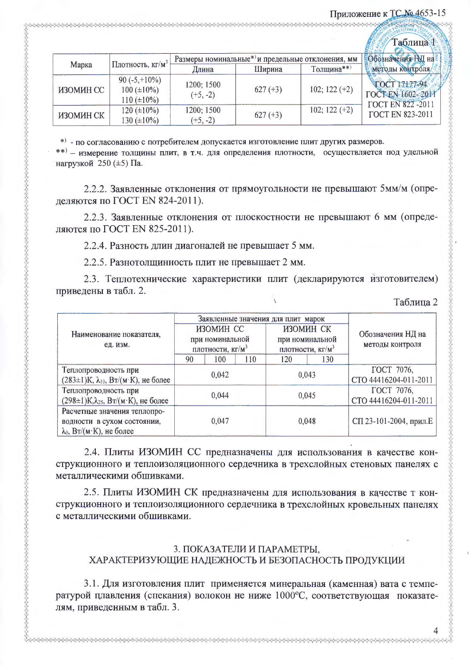# Приложение к ТС № 4653-15

|           |                                                          |                                                               |                   |                 | <b>Таблица</b>                                                       |
|-----------|----------------------------------------------------------|---------------------------------------------------------------|-------------------|-----------------|----------------------------------------------------------------------|
| Марка     |                                                          | Размеры номинальные* <sup>)</sup> и предельные отклонения, мм | Обозначения НМ на |                 |                                                                      |
|           | Плотность, $KT/M^3$                                      | Длина                                                         | Ширина            | Толщина**)      | методы контроля/                                                     |
| ИЗОМИН СС | 90 $(-5, +10\%)$<br>$100 (\pm 10\%)$<br>$110 (\pm 10\%)$ | 1200; 1500<br>$(+5, -2)$                                      | $627 (+3)$        | $102; 122 (+2)$ | TOCT 17177-94<br><b>TOCTEN 1602-2011</b><br><b>FOCT EN 822 -2011</b> |
| ИЗОМИН СК | $120 (\pm 10\%)$<br>130 ( $\pm 10\%$ )                   | 1200; 1500<br>$(+5, -2)$                                      | $627 (+3)$        | $102; 122 (+2)$ | <b>FOCT EN 823-2011</b>                                              |

\*) - по согласованию с потребителем допускается изготовление плит других размеров.

\*\*) - измерение толщины плит, в т.ч. для определения плотности, осуществляется под удельной нагрузкой 250 (±5) Па.

2.2.2. Заявленные отклонения от прямоугольности не превышают 5мм/м (определяются по ГОСТ EN 824-2011).

2.2.3. Заявленные отклонения от плоскостности не превышают 6 мм (определяются по ГОСТ EN 825-2011).

2.2.4. Разность длин диагоналей не превышает 5 мм.

2.2.5. Разнотолщинность плит не превышает 2 мм.

2.3. Теплотехнические характеристики плит (декларируются изготовителем) приведены в табл. 2.

#### Таблица 2

|                                                                                                 | Заявленные значения для плит марок                           |     |                                                              |     |                                      |  |
|-------------------------------------------------------------------------------------------------|--------------------------------------------------------------|-----|--------------------------------------------------------------|-----|--------------------------------------|--|
| Наименование показателя,<br>ед. изм.                                                            | ИЗОМИН СС<br>при номинальной<br>плотности, кг/м <sup>3</sup> |     | ИЗОМИН СК<br>при номинальной<br>плотности, кг/м <sup>3</sup> |     | Обозначения НД на<br>методы контроля |  |
|                                                                                                 | 90                                                           | 100 | 110                                                          | 120 | 130                                  |  |
| Теплопроводность при<br>$(283 \pm 1)$ К, $\lambda_{10}$ , Вт/(м·К), не более                    | 0,042                                                        |     | 0,043                                                        |     | ГОСТ 7076,<br>CTO 44416204-011-2011  |  |
| Теплопроводность при<br>$(298\pm1)K, \lambda_{25}$ , Вт/(м·К), не более                         | 0,044                                                        |     | 0,045                                                        |     | ГОСТ 7076,<br>CTO 44416204-011-2011  |  |
| Расчетные значения теплопро-<br>водности в сухом состоянии,<br>$\lambda_0$ , Вт/(м·К), не более | 0,047                                                        |     | 0,048                                                        |     | СП 23-101-2004, прил.Е               |  |

2.4. Плиты ИЗОМИН СС предназначены для использования в качестве конструкционного и теплоизоляционного сердечника в трехслойных стеновых панелях с металлическими обшивками.

2.5. Плиты ИЗОМИН СК предназначены для использования в качестве т конструкционного и теплоизоляционного сердечника в трехслойных кровельных панелях с металлическими обшивками.

# 3. ПОКАЗАТЕЛИ И ПАРАМЕТРЫ, ХАРАКТЕРИЗУЮЩИЕ НАДЕЖНОСТЬ И БЕЗОПАСНОСТЬ ПРОДУКЦИИ

3.1. Для изготовления плит применяется минеральная (каменная) вата с температурой плавления (спекания) волокон не ниже 1000°С, соответствующая показателям, приведенным в табл. 3.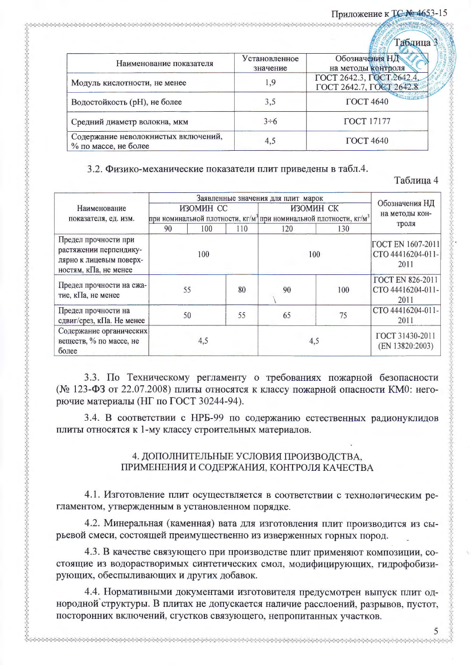# Приложение к ТС No 4653-15

|                                                             |                           | Габлица                              |
|-------------------------------------------------------------|---------------------------|--------------------------------------|
| Наименование показателя                                     | Установленное<br>значение | Обозначения НД<br>на методы контроля |
|                                                             |                           |                                      |
| Модуль кислотности, не менее                                | 1,9                       | ГОСТ 2642.3, ГОСТ 2642.4             |
|                                                             |                           | ГОСТ 2642.7, ГОСТ 2642.8             |
| Водостойкость (рН), не более                                | 3,5                       | <b>ГОСТ 4640</b>                     |
| Средний диаметр волокна, мкм                                | $3\div 6$                 | <b>ГОСТ</b> 17177                    |
| Содержание неволокнистых включений,<br>% по массе, не более | 4,5                       | <b>ГОСТ 4640</b>                     |

# 3.2. Физико-механические показатели плит приведены в табл.4.

# Таблица 4

|                                                                                                    | Заявленные значения для плит марок                                                                     |     |     |           |                                    |                                                       |  |
|----------------------------------------------------------------------------------------------------|--------------------------------------------------------------------------------------------------------|-----|-----|-----------|------------------------------------|-------------------------------------------------------|--|
| Наименование<br>показателя, ед. изм.                                                               | ИЗОМИН СС<br>при номинальной плотности, кг/м <sup>3</sup> при номинальной плотности, кг/м <sup>3</sup> |     |     | ИЗОМИН СК |                                    | Обозначения НД<br>на методы кон-                      |  |
|                                                                                                    | 90                                                                                                     | 100 | 110 | 120       | 130                                | троля                                                 |  |
| Предел прочности при<br>растяжении перпендику-<br>лярно к лицевым поверх-<br>ностям, кПа, не менее | 100                                                                                                    |     |     | 100       |                                    | <b>FOCT EN 1607-2011</b><br>CTO 44416204-011-<br>2011 |  |
| Предел прочности на сжа-<br>тие, кПа, не менее                                                     |                                                                                                        | 55  | 80  | 90        | 100                                | <b>FOCT EN 826-2011</b><br>CTO 44416204-011-<br>2011  |  |
| Предел прочности на<br>сдвиг/срез, кПа. Не менее                                                   |                                                                                                        | 50  | 55  | 65        | 75                                 | CTO 44416204-011-<br>2011                             |  |
| Содержание органических<br>веществ, % по массе, не<br>более                                        | 4,5                                                                                                    |     | 4,5 |           | ГОСТ 31430-2011<br>(EN 13820:2003) |                                                       |  |

3.3. По Техническому регламенту о требованиях пожарной безопасности (№ 123-ФЗ от 22.07.2008) плиты относятся к классу пожарной опасности КМ0: негорючие материалы (НГ по ГОСТ 30244-94).

3.4. В соответствии с НРБ-99 по содержанию естественных радионуклидов плиты относятся к 1-му классу строительных материалов.

# 4. ДОПОЛНИТЕЛЬНЫЕ УСЛОВИЯ ПРОИЗВОДСТВА, ПРИМЕНЕНИЯ И СОДЕРЖАНИЯ, КОНТРОЛЯ КАЧЕСТВА

4.1. Изготовление плит осуществляется в соответствии с технологическим регламентом, утвержденным в установленном порядке.

4.2. Минеральная (каменная) вата для изготовления плит производится из сырьевой смеси, состоящей преимущественно из изверженных горных пород.

4.3. В качестве связующего при производстве плит применяют композиции, состоящие из водорастворимых синтетических смол, модифицирующих, гидрофобизирующих, обеспыливающих и других добавок.

4.4. Нормативными документами изготовителя предусмотрен выпуск плит однородной структуры. В плитах не допускается наличие расслоений, разрывов, пустот, посторонних включений, сгустков связующего, непропитанных участков.